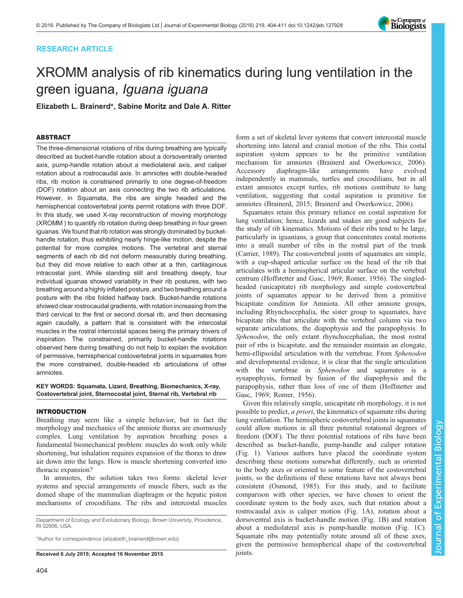# RESEARCH ARTICLE



# XROMM analysis of rib kinematics during lung ventilation in the green iguana, Iguana iguana

Elizabeth L. Brainerd\*, Sabine Moritz and Dale A. Ritter

# ABSTRACT

The three-dimensional rotations of ribs during breathing are typically described as bucket-handle rotation about a dorsoventrally oriented axis, pump-handle rotation about a mediolateral axis, and caliper rotation about a rostrocaudal axis. In amniotes with double-headed ribs, rib motion is constrained primarily to one degree-of-freedom (DOF) rotation about an axis connecting the two rib articulations. However, in Squamata, the ribs are single headed and the hemispherical costovertebral joints permit rotations with three DOF. In this study, we used X-ray reconstruction of moving morphology (XROMM ) to quantify rib rotation during deep breathing in four green iguanas. We found that rib rotation was strongly dominated by buckethandle rotation, thus exhibiting nearly hinge-like motion, despite the potential for more complex motions. The vertebral and sternal segments of each rib did not deform measurably during breathing, but they did move relative to each other at a thin, cartilaginous intracostal joint. While standing still and breathing deeply, four individual iguanas showed variability in their rib postures, with two breathing around a highly inflated posture, and two breathing around a posture with the ribs folded halfway back. Bucket-handle rotations showed clear rostrocaudal gradients, with rotation increasing from the third cervical to the first or second dorsal rib, and then decreasing again caudally, a pattern that is consistent with the intercostal muscles in the rostral intercostal spaces being the primary drivers of inspiration. The constrained, primarily bucket-handle rotations observed here during breathing do not help to explain the evolution of permissive, hemispherical costovertebral joints in squamates from the more constrained, double-headed rib articulations of other amniotes.

# KEY WORDS: Squamata, Lizard, Breathing, Biomechanics, X-ray, Costovertebral joint, Sternocostal joint, Sternal rib, Vertebral rib

# INTRODUCTION

Breathing may seem like a simple behavior, but in fact the morphology and mechanics of the amniote thorax are enormously complex. Lung ventilation by aspiration breathing poses a fundamental biomechanical problem: muscles do work only while shortening, but inhalation requires expansion of the thorax to draw air down into the lungs. How is muscle shortening converted into thoracic expansion?

In amniotes, the solution takes two forms: skeletal lever systems and special arrangements of muscle fibers, such as the domed shape of the mammalian diaphragm or the hepatic piston mechanisms of crocodilians. The ribs and intercostal muscles

Department of Ecology and Evolutionary Biology, Brown University, Providence, RI 02906, USA.

\*Author for correspondence [\(elizabeth\\_brainerd@brown.edu\)](mailto:elizabeth_brainerd@brown.edu)

Received 6 July 2015; Accepted 16 November 2015 joints.

form a set of skeletal lever systems that convert intercostal muscle shortening into lateral and cranial motion of the ribs. This costal aspiration system appears to be the primitive ventilation mechanism for amniotes ([Brainerd and Owerkowicz, 2006\)](#page-7-0). Accessory diaphragm-like arrangements have evolved independently in mammals, turtles and crocodilians, but in all extant amniotes except turtles, rib motions contribute to lung ventilation, suggesting that costal aspiration is primitive for amniotes ([Brainerd, 2015](#page-7-0); [Brainerd and Owerkowicz, 2006\)](#page-7-0).

Squamates retain this primary reliance on costal aspiration for lung ventilation; hence, lizards and snakes are good subjects for the study of rib kinematics. Motions of their ribs tend to be large, particularly in iguanians, a group that concentrates costal motions into a small number of ribs in the rostral part of the trunk [\(Carrier, 1989\)](#page-7-0). The costovertebral joints of squamates are simple, with a cup-shaped articular surface on the head of the rib that articulates with a hemispherical articular surface on the vertebral centrum ([Hoffstetter and Gasc, 1969](#page-7-0); [Romer, 1956\)](#page-7-0). The singledheaded (unicapitate) rib morphology and simple costovertebral joints of squamates appear to be derived from a primitive bicapitate condition for Amniota. All other amniote groups, including Rhynchocephalia, the sister group to squamates, have bicapitate ribs that articulate with the vertebral column via two separate articulations, the diapophysis and the parapophysis. In Sphenodon, the only extant rhynchocephalian, the most rostral pair of ribs is bicapitate, and the remainder maintain an elongate, hemi-ellipsoidal articulation with the vertebrae. From Sphenodon and developmental evidence, it is clear that the single articulation with the vertebrae in Sphenodon and squamates is a synapophysis, formed by fusion of the diapophysis and the parapophysis, rather than loss of one of them [\(Hoffstetter and](#page-7-0) [Gasc, 1969; Romer, 1956](#page-7-0)).

Given this relatively simple, unicapitate rib morphology, it is not possible to predict, *a priori*, the kinematics of squamate ribs during lung ventilation. The hemispheric costovertebral joints in squamates could allow motions in all three potential rotational degrees of freedom (DOF). The three potential rotations of ribs have been described as bucket-handle, pump-handle and caliper rotation [\(Fig. 1\)](#page-1-0). Various authors have placed the coordinate system describing these motions somewhat differently, such as oriented to the body axes or oriented to some feature of the costovertebral joints, so the definitions of these rotations have not always been consistent [\(Osmond, 1985\)](#page-7-0). For this study, and to facilitate comparison with other species, we have chosen to orient the coordinate system to the body axes, such that rotation about a rostrocaudal axis is caliper motion ([Fig. 1](#page-1-0)A), rotation about a dorsoventral axis is bucket-handle motion [\(Fig. 1B](#page-1-0)) and rotation about a mediolateral axis is pump-handle motion ([Fig. 1](#page-1-0)C). Squamate ribs may potentially rotate around all of these axes, given the permissive hemispherical shape of the costovertebral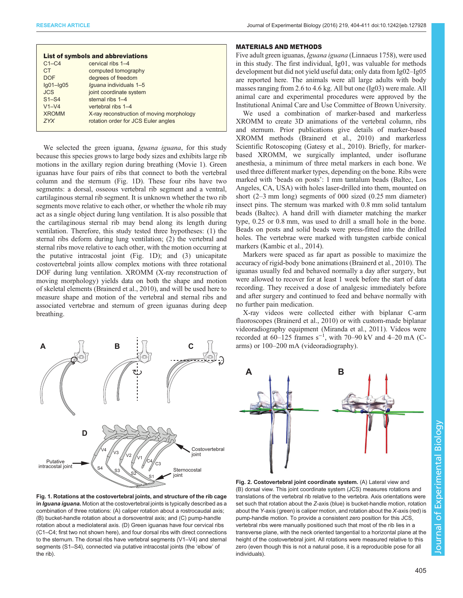<span id="page-1-0"></span>

| <b>List of symbols and abbreviations</b> |                                           |
|------------------------------------------|-------------------------------------------|
| $C1-C4$                                  | cervical ribs 1-4                         |
| <b>CT</b>                                | computed tomography                       |
| <b>DOF</b>                               | degrees of freedom                        |
| $Iq01-Iq05$                              | Iguana individuals 1-5                    |
| <b>JCS</b>                               | joint coordinate system                   |
| $S1 - S4$                                | sternal ribs 1-4                          |
| $V1-V4$                                  | vertebral ribs 1-4                        |
| <b>XROMM</b>                             | X-ray reconstruction of moving morphology |
| 7YX                                      | rotation order for JCS Euler angles       |
|                                          |                                           |

We selected the green iguana, Iguana iguana, for this study because this species grows to large body sizes and exhibits large rib motions in the axillary region during breathing ([Movie 1](http://jeb.biologists.org/lookup/suppl/doi:10.1242/jeb.127928/-/DC1)). Green iguanas have four pairs of ribs that connect to both the vertebral column and the sternum (Fig. 1D). These four ribs have two segments: a dorsal, osseous vertebral rib segment and a ventral, cartilaginous sternal rib segment. It is unknown whether the two rib segments move relative to each other, or whether the whole rib may act as a single object during lung ventilation. It is also possible that the cartilaginous sternal rib may bend along its length during ventilation. Therefore, this study tested three hypotheses: (1) the sternal ribs deform during lung ventilation; (2) the vertebral and sternal ribs move relative to each other, with the motion occurring at the putative intracostal joint (Fig. 1D); and (3) unicapitate costovertebral joints allow complex motions with three rotational DOF during lung ventilation. XROMM (X-ray reconstruction of moving morphology) yields data on both the shape and motion of skeletal elements [\(Brainerd et al., 2010\)](#page-7-0), and will be used here to measure shape and motion of the vertebral and sternal ribs and associated vertebrae and sternum of green iguanas during deep breathing.



## MATERIALS AND METHODS

Five adult green iguanas, Iguana iguana (Linnaeus 1758), were used in this study. The first individual, Ig01, was valuable for methods development but did not yield useful data; only data from Ig02–Ig05 are reported here. The animals were all large adults with body masses ranging from 2.6 to 4.6 kg. All but one (Ig03) were male. All animal care and experimental procedures were approved by the Institutional Animal Care and Use Committee of Brown University.

We used a combination of marker-based and markerless XROMM to create 3D animations of the vertebral column, ribs and sternum. Prior publications give details of marker-based XROMM methods ([Brainerd et al., 2010\)](#page-7-0) and markerless Scientific Rotoscoping ([Gatesy et al., 2010\)](#page-7-0). Briefly, for markerbased XROMM, we surgically implanted, under isoflurane anesthesia, a minimum of three metal markers in each bone. We used three different marker types, depending on the bone. Ribs were marked with 'beads on posts': 1 mm tantalum beads (Baltec, Los Angeles, CA, USA) with holes laser-drilled into them, mounted on short (2–3 mm long) segments of 000 sized (0.25 mm diameter) insect pins. The sternum was marked with 0.8 mm solid tantalum beads (Baltec). A hand drill with diameter matching the marker type, 0.25 or 0.8 mm, was used to drill a small hole in the bone. Beads on posts and solid beads were press-fitted into the drilled holes. The vertebrae were marked with tungsten carbide conical markers ([Kambic et al., 2014\)](#page-7-0).

Markers were spaced as far apart as possible to maximize the accuracy of rigid-body bone animations [\(Brainerd et al., 2010\)](#page-7-0). The iguanas usually fed and behaved normally a day after surgery, but were allowed to recover for at least 1 week before the start of data recording. They received a dose of analgesic immediately before and after surgery and continued to feed and behave normally with no further pain medication.

X-ray videos were collected either with biplanar C-arm fluoroscopes ([Brainerd et al., 2010\)](#page-7-0) or with custom-made biplanar videoradiography equipment [\(Miranda et al., 2011](#page-7-0)). Videos were recorded at  $60-125$  frames s<sup>-1</sup>, with 70–90 kV and 4–20 mA (Carms) or 100–200 mA (videoradiography).



Fig. 1. Rotations at the costovertebral joints, and structure of the rib cage in Iguana iguana. Motion at the costovertebral joints is typically described as a combination of three rotations: (A) caliper rotation about a rostrocaudal axis; (B) bucket-handle rotation about a dorsoventral axis; and (C) pump-handle rotation about a mediolateral axis. (D) Green iguanas have four cervical ribs (C1–C4; first two not shown here), and four dorsal ribs with direct connections to the sternum. The dorsal ribs have vertebral segments (V1–V4) and sternal segments (S1–S4), connected via putative intracostal joints (the 'elbow' of the rib).

Fig. 2. Costovertebral joint coordinate system. (A) Lateral view and (B) dorsal view. This joint coordinate system (JCS) measures rotations and translations of the vertebral rib relative to the vertebra. Axis orientations were set such that rotation about the Z-axis (blue) is bucket-handle motion, rotation about the Y-axis (green) is caliper motion, and rotation about the X-axis (red) is pump-handle motion. To provide a consistent zero position for this JCS, vertebral ribs were manually positioned such that most of the rib lies in a transverse plane, with the neck oriented tangential to a horizontal plane at the height of the costovertebral joint. All rotations were measured relative to this zero (even though this is not a natural pose, it is a reproducible pose for all individuals).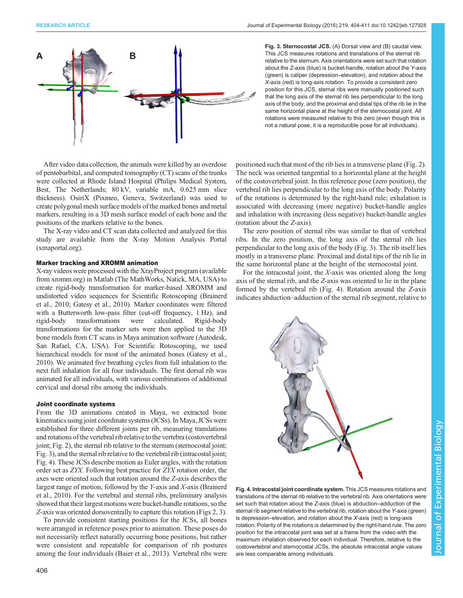<span id="page-2-0"></span>

Fig. 3. Sternocostal JCS. (A) Dorsal view and (B) caudal view. This JCS measures rotations and translations of the sternal rib relative to the sternum. Axis orientations were set such that rotation about the Z-axis (blue) is bucket-handle, rotation about the Y-axis (green) is caliper (depression–elevation), and rotation about the X-axis (red) is long-axis rotation. To provide a consistent zero position for this JCS, sternal ribs were manually positioned such that the long axis of the sternal rib lies perpendicular to the long axis of the body, and the proximal and distal tips of the rib lie in the same horizontal plane at the height of the sternocostal joint. All rotations were measured relative to this zero (even though this is not a natural pose, it is a reproducible pose for all individuals).

After video data collection, the animals were killed by an overdose of pentobarbital, and computed tomography (CT) scans of the trunks were collected at Rhode Island Hospital (Philips Medical System, Best, The Netherlands; 80 kV, variable mA, 0.625 mm slice thickness). OsiriX (Pixmeo, Geneva, Switzerland) was used to create polygonal mesh surface models of the marked bones and metal markers, resulting in a 3D mesh surface model of each bone and the positions of the markers relative to the bones.

The X-ray video and CT scan data collected and analyzed for this study are available from the X-ray Motion Analysis Portal (xmaportal.org).

## Marker tracking and XROMM animation

X-ray videos were processed with the XrayProject program (available from xromm.org) in Matlab (The MathWorks, Natick, MA, USA) to create rigid-body transformation for marker-based XROMM and undistorted video sequences for Scientific Rotoscoping ([Brainerd](#page-7-0) [et al., 2010](#page-7-0); [Gatesy et al., 2010](#page-7-0)). Marker coordinates were filtered with a Butterworth low-pass filter (cut-off frequency, 1 Hz), and rigid-body transformations were calculated. Rigid-body transformations for the marker sets were then applied to the 3D bone models from CT scans in Maya animation software (Autodesk, San Rafael, CA, USA). For Scientific Rotoscoping, we used hierarchical models for most of the animated bones [\(Gatesy et al.,](#page-7-0) [2010\)](#page-7-0). We animated five breathing cycles from full inhalation to the next full inhalation for all four individuals. The first dorsal rib was animated for all individuals, with various combinations of additional cervical and dorsal ribs among the individuals.

## Joint coordinate systems

From the 3D animations created in Maya, we extracted bone kinematics using joint coordinate systems (JCSs). In Maya, JCSs were established for three different joints per rib, measuring translations and rotations of the vertebral rib relative to the vertebra (costovertebral joint; [Fig. 2\)](#page-1-0), the sternal rib relative to the sternum (sternocostal joint; Fig. 3), and the sternal rib relative to the vertebral rib (intracostal joint; Fig. 4). These JCSs describe motion as Euler angles, with the rotation order set as ZYX. Following best practice for ZYX rotation order, the axes were oriented such that rotation around the Z-axis describes the largest range of motion, followed by the Y-axis and X-axis ([Brainerd](#page-7-0) [et al., 2010](#page-7-0)). For the vertebral and sternal ribs, preliminary analysis showed that their largest motions were bucket-handle rotations, so the Z-axis was oriented dorsoventrally to capture this rotation [\(Figs 2,](#page-1-0) 3).

To provide consistent starting positions for the JCSs, all bones were arranged in reference poses prior to animation. These poses do not necessarily reflect naturally occurring bone positions, but rather were consistent and repeatable for comparison of rib postures among the four individuals ([Baier et al., 2013](#page-7-0)). Vertebral ribs were

The neck was oriented tangential to a horizontal plane at the height of the costovertebral joint. In this reference pose (zero position), the vertebral rib lies perpendicular to the long axis of the body. Polarity of the rotations is determined by the right-hand rule; exhalation is associated with decreasing (more negative) bucket-handle angles and inhalation with increasing (less negative) bucket-handle angles (rotation about the Z-axis). The zero position of sternal ribs was similar to that of vertebral

positioned such that most of the rib lies in a transverse plane [\(Fig. 2\)](#page-1-0).

ribs. In the zero position, the long axis of the sternal rib lies perpendicular to the long axis of the body (Fig. 3). The rib itself lies mostly in a transverse plane. Proximal and distal tips of the rib lie in the same horizontal plane at the height of the sternocostal joint.

For the intracostal joint, the X-axis was oriented along the long axis of the sternal rib, and the Z-axis was oriented to lie in the plane formed by the vertebral rib (Fig. 4). Rotation around the Z-axis indicates abduction–adduction of the sternal rib segment, relative to



Fig. 4. Intracostal joint coordinate system. This JCS measures rotations and translations of the sternal rib relative to the vertebral rib. Axis orientations were set such that rotation about the Z-axis (blue) is abduction–adduction of the sternal rib segment relative to the vertebral rib, rotation about the Y-axis (green) is depression–elevation, and rotation about the  $X$ -axis (red) is long-axis rotation. Polarity of the rotations is determined by the right-hand rule. The zero position for the intracostal joint was set at a frame from the video with the maximum inhalation observed for each individual. Therefore, relative to the costovertebral and sternocostal JCSs, the absolute intracostal angle values are less comparable among individuals.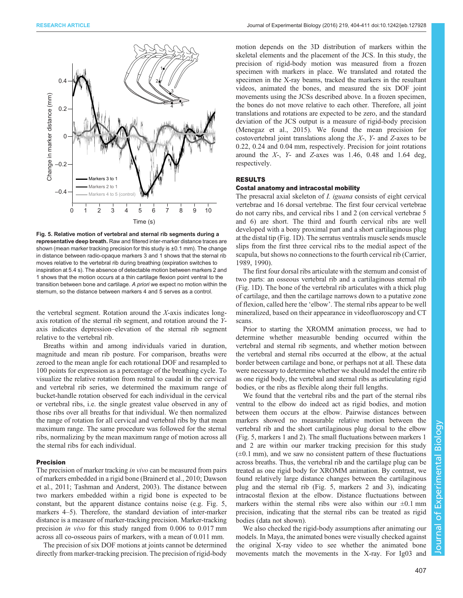<span id="page-3-0"></span>

Fig. 5. Relative motion of vertebral and sternal rib segments during a representative deep breath. Raw and filtered inter-marker distance traces are shown (mean marker tracking precision for this study is ±0.1 mm). The change in distance between radio-opaque markers 3 and 1 shows that the sternal rib moves relative to the vertebral rib during breathing (expiration switches to inspiration at 5.4 s). The absence of detectable motion between markers 2 and 1 shows that the motion occurs at a thin cartilage flexion point ventral to the transition between bone and cartilage. A priori we expect no motion within the sternum, so the distance between markers 4 and 5 serves as a control.

the vertebral segment. Rotation around the  $X$ -axis indicates longaxis rotation of the sternal rib segment, and rotation around the Yaxis indicates depression–elevation of the sternal rib segment relative to the vertebral rib.

Breaths within and among individuals varied in duration, magnitude and mean rib posture. For comparison, breaths were zeroed to the mean angle for each rotational DOF and resampled to 100 points for expression as a percentage of the breathing cycle. To visualize the relative rotation from rostral to caudal in the cervical and vertebral rib series, we determined the maximum range of bucket-handle rotation observed for each individual in the cervical or vertebral ribs, i.e. the single greatest value observed in any of those ribs over all breaths for that individual. We then normalized the range of rotation for all cervical and vertebral ribs by that mean maximum range. The same procedure was followed for the sternal ribs, normalizing by the mean maximum range of motion across all the sternal ribs for each individual.

# Precision

The precision of marker tracking *in vivo* can be measured from pairs of markers embedded in a rigid bone ([Brainerd et al., 2010; Dawson](#page-7-0) [et al., 2011](#page-7-0); [Tashman and Anderst, 2003\)](#page-7-0). The distance between two markers embedded within a rigid bone is expected to be constant, but the apparent distance contains noise (e.g. Fig. 5, markers 4–5). Therefore, the standard deviation of inter-marker distance is a measure of marker-tracking precision. Marker-tracking precision in vivo for this study ranged from 0.006 to 0.017 mm across all co-osseous pairs of markers, with a mean of 0.011 mm.

The precision of six DOF motions at joints cannot be determined directly from marker-tracking precision. The precision of rigid-body motion depends on the 3D distribution of markers within the skeletal elements and the placement of the JCS. In this study, the precision of rigid-body motion was measured from a frozen specimen with markers in place. We translated and rotated the specimen in the X-ray beams, tracked the markers in the resultant videos, animated the bones, and measured the six DOF joint movements using the JCSs described above. In a frozen specimen, the bones do not move relative to each other. Therefore, all joint translations and rotations are expected to be zero, and the standard deviation of the JCS output is a measure of rigid-body precision [\(Menegaz et al., 2015\)](#page-7-0). We found the mean precision for costovertebral joint translations along the X-, Y- and Z-axes to be 0.22, 0.24 and 0.04 mm, respectively. Precision for joint rotations around the  $X$ -,  $Y$ - and  $Z$ -axes was 1.46, 0.48 and 1.64 deg, respectively.

# RESULTS

## Costal anatomy and intracostal mobility

The presacral axial skeleton of *I. iguana* consists of eight cervical vertebrae and 16 dorsal vertebrae. The first four cervical vertebrae do not carry ribs, and cervical ribs 1 and 2 (on cervical vertebrae 5 and 6) are short. The third and fourth cervical ribs are well developed with a bony proximal part and a short cartilaginous plug at the distal tip [\(Fig. 1D](#page-1-0)). The serratus ventralis muscle sends muscle slips from the first three cervical ribs to the medial aspect of the scapula, but shows no connections to the fourth cervical rib [\(Carrier,](#page-7-0) [1989, 1990](#page-7-0)).

The first four dorsal ribs articulate with the sternum and consist of two parts: an osseous vertebral rib and a cartilaginous sternal rib [\(Fig. 1D](#page-1-0)). The bone of the vertebral rib articulates with a thick plug of cartilage, and then the cartilage narrows down to a putative zone of flexion, called here the 'elbow'. The sternal ribs appear to be well mineralized, based on their appearance in videofluoroscopy and CT scans.

Prior to starting the XROMM animation process, we had to determine whether measurable bending occurred within the vertebral and sternal rib segments, and whether motion between the vertebral and sternal ribs occurred at the elbow, at the actual border between cartilage and bone, or perhaps not at all. These data were necessary to determine whether we should model the entire rib as one rigid body, the vertebral and sternal ribs as articulating rigid bodies, or the ribs as flexible along their full lengths.

We found that the vertebral ribs and the part of the sternal ribs ventral to the elbow do indeed act as rigid bodies, and motion between them occurs at the elbow. Pairwise distances between markers showed no measurable relative motion between the vertebral rib and the short cartilaginous plug dorsal to the elbow (Fig. 5, markers 1 and 2). The small fluctuations between markers 1 and 2 are within our marker tracking precision for this study  $(\pm 0.1 \text{ mm})$ , and we saw no consistent pattern of these fluctuations across breaths. Thus, the vertebral rib and the cartilage plug can be treated as one rigid body for XROMM animation. By contrast, we found relatively large distance changes between the cartilaginous plug and the sternal rib (Fig. 5, markers 2 and 3), indicating intracostal flexion at the elbow. Distance fluctuations between markers within the sternal ribs were also within our  $\pm 0.1$  mm precision, indicating that the sternal ribs can be treated as rigid bodies (data not shown).

We also checked the rigid-body assumptions after animating our models. In Maya, the animated bones were visually checked against the original X-ray video to see whether the animated bone movements match the movements in the X-ray. For Ig03 and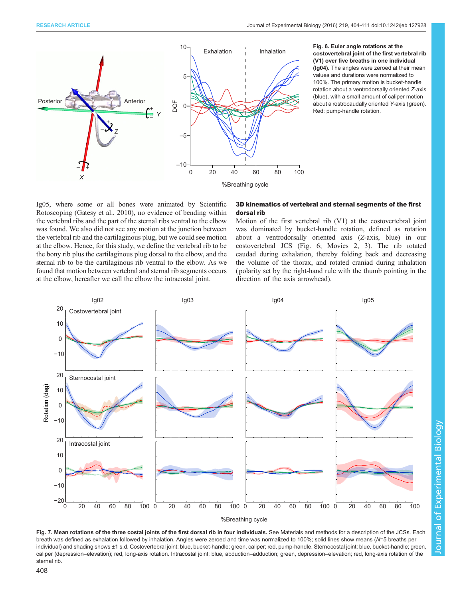<span id="page-4-0"></span>

Fig. 6. Euler angle rotations at the costovertebral joint of the first vertebral rib (V1) over five breaths in one individual (Ig04). The angles were zeroed at their mean values and durations were normalized to 100%. The primary motion is bucket-handle rotation about a ventrodorsally oriented Z-axis (blue), with a small amount of caliper motion about a rostrocaudally oriented Y-axis (green). Red: pump-handle rotation.

Ig05, where some or all bones were animated by Scientific Rotoscoping ([Gatesy et al., 2010\)](#page-7-0), no evidence of bending within the vertebral ribs and the part of the sternal ribs ventral to the elbow was found. We also did not see any motion at the junction between the vertebral rib and the cartilaginous plug, but we could see motion at the elbow. Hence, for this study, we define the vertebral rib to be the bony rib plus the cartilaginous plug dorsal to the elbow, and the sternal rib to be the cartilaginous rib ventral to the elbow. As we found that motion between vertebral and sternal rib segments occurs at the elbow, hereafter we call the elbow the intracostal joint.

# 3D kinematics of vertebral and sternal segments of the first dorsal rib

Motion of the first vertebral rib (V1) at the costovertebral joint was dominated by bucket-handle rotation, defined as rotation about a ventrodorsally oriented axis (Z-axis, blue) in our costovertebral JCS (Fig. 6; [Movies 2, 3\)](http://jeb.biologists.org/lookup/suppl/doi:10.1242/jeb.127928/-/DC1). The rib rotated caudad during exhalation, thereby folding back and decreasing the volume of the thorax, and rotated craniad during inhalation ( polarity set by the right-hand rule with the thumb pointing in the direction of the axis arrowhead).



Fig. 7. Mean rotations of the three costal joints of the first dorsal rib in four individuals. See Materials and methods for a description of the JCSs. Each breath was defined as exhalation followed by inhalation. Angles were zeroed and time was normalized to 100%; solid lines show means (N=5 breaths per individual) and shading shows ±1 s.d. Costovertebral joint: blue, bucket-handle; green, caliper; red, pump-handle. Sternocostal joint: blue, bucket-handle; green, caliper (depression–elevation); red, long-axis rotation. Intracostal joint: blue, abduction–adduction; green, depression–elevation; red, long-axis rotation of the sternal rib.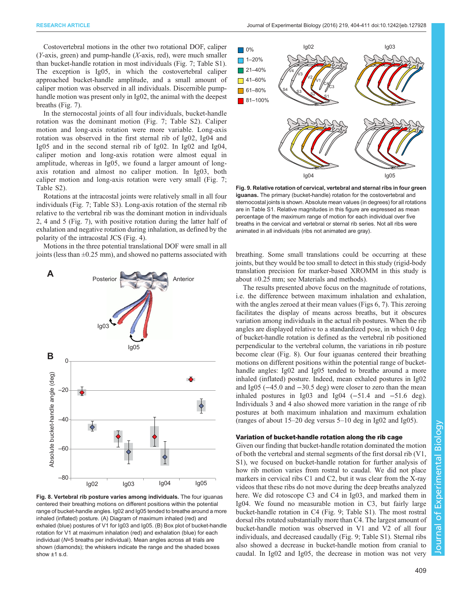<span id="page-5-0"></span>Costovertebral motions in the other two rotational DOF, caliper  $(Y$ -axis, green) and pump-handle  $(X$ -axis, red), were much smaller than bucket-handle rotation in most individuals ([Fig. 7](#page-4-0); [Table S1\)](http://jeb.biologists.org/lookup/suppl/doi:10.1242/jeb.127928/-/DC1). The exception is Ig05, in which the costovertebral caliper approached bucket-handle amplitude, and a small amount of caliper motion was observed in all individuals. Discernible pumphandle motion was present only in Ig02, the animal with the deepest breaths ([Fig. 7\)](#page-4-0).

In the sternocostal joints of all four individuals, bucket-handle rotation was the dominant motion [\(Fig. 7](#page-4-0); [Table S2\)](http://jeb.biologists.org/lookup/suppl/doi:10.1242/jeb.127928/-/DC1). Caliper motion and long-axis rotation were more variable. Long-axis rotation was observed in the first sternal rib of Ig02, Ig04 and Ig05 and in the second sternal rib of Ig02. In Ig02 and Ig04, caliper motion and long-axis rotation were almost equal in amplitude, whereas in Ig05, we found a larger amount of longaxis rotation and almost no caliper motion. In Ig03, both caliper motion and long-axis rotation were very small ([Fig. 7](#page-4-0); [Table S2](http://jeb.biologists.org/lookup/suppl/doi:10.1242/jeb.127928/-/DC1)).

Rotations at the intracostal joints were relatively small in all four individuals ([Fig. 7](#page-4-0); [Table S3](http://jeb.biologists.org/lookup/suppl/doi:10.1242/jeb.127928/-/DC1)). Long-axis rotation of the sternal rib relative to the vertebral rib was the dominant motion in individuals 2, 4 and 5 ([Fig. 7\)](#page-4-0), with positive rotation during the latter half of exhalation and negative rotation during inhalation, as defined by the polarity of the intracostal JCS [\(Fig. 4\)](#page-2-0).

Motions in the three potential translational DOF were small in all joints (less than ±0.25 mm), and showed no patterns associated with breathing. Some small translations could be occurring at these



Fig. 8. Vertebral rib posture varies among individuals. The four iguanas centered their breathing motions on different positions within the potential range of bucket-handle angles. Ig02 and Ig05 tended to breathe around a more inhaled (inflated) posture. (A) Diagram of maximum inhaled (red) and exhaled (blue) postures of V1 for Ig03 and Ig05. (B) Box plot of bucket-handle rotation for V1 at maximum inhalation (red) and exhalation (blue) for each individual (N=5 breaths per individual). Mean angles across all trials are shown (diamonds); the whiskers indicate the range and the shaded boxes show ±1 s.d.



Fig. 9. Relative rotation of cervical, vertebral and sternal ribs in four green iguanas. The primary (bucket-handle) rotation for the costovertebral and sternocostal joints is shown. Absolute mean values (in degrees) for all rotations are in [Table S1](http://jeb.biologists.org/lookup/suppl/doi:10.1242/jeb.127928/-/DC1). Relative magnitudes in this figure are expressed as mean percentage of the maximum range of motion for each individual over five breaths in the cervical and vertebral or sternal rib series. Not all ribs were animated in all individuals (ribs not animated are gray).

joints, but they would be too small to detect in this study (rigid-body translation precision for marker-based XROMM in this study is about  $\pm 0.25$  mm; see Materials and methods).

The results presented above focus on the magnitude of rotations, i.e. the difference between maximum inhalation and exhalation, with the angles zeroed at their mean values [\(Figs 6](#page-4-0), [7\)](#page-4-0). This zeroing facilitates the display of means across breaths, but it obscures variation among individuals in the actual rib postures. When the rib angles are displayed relative to a standardized pose, in which 0 deg of bucket-handle rotation is defined as the vertebral rib positioned perpendicular to the vertebral column, the variations in rib posture become clear (Fig. 8). Our four iguanas centered their breathing motions on different positions within the potential range of buckethandle angles: Ig02 and Ig05 tended to breathe around a more inhaled (inflated) posture. Indeed, mean exhaled postures in Ig02 and Ig05 (−45.0 and −30.5 deg) were closer to zero than the mean inhaled postures in Ig03 and Ig04 (−51.4 and −51.6 deg). Individuals 3 and 4 also showed more variation in the range of rib postures at both maximum inhalation and maximum exhalation (ranges of about 15–20 deg versus 5–10 deg in Ig02 and Ig05).

## Variation of bucket-handle rotation along the rib cage

Given our finding that bucket-handle rotation dominated the motion of both the vertebral and sternal segments of the first dorsal rib (V1, S1), we focused on bucket-handle rotation for further analysis of how rib motion varies from rostral to caudal. We did not place markers in cervical ribs C1 and C2, but it was clear from the X-ray videos that these ribs do not move during the deep breaths analyzed here. We did rotoscope C3 and C4 in Ig03, and marked them in Ig04. We found no measurable motion in C3, but fairly large bucket-handle rotation in C4 (Fig. 9; [Table S1](http://jeb.biologists.org/lookup/suppl/doi:10.1242/jeb.127928/-/DC1)). The most rostral dorsal ribs rotated substantially more than C4. The largest amount of bucket-handle motion was observed in V1 and V2 of all four individuals, and decreased caudally (Fig. 9; [Table S1\)](http://jeb.biologists.org/lookup/suppl/doi:10.1242/jeb.127928/-/DC1). Sternal ribs also showed a decrease in bucket-handle motion from cranial to caudal. In Ig02 and Ig05, the decrease in motion was not very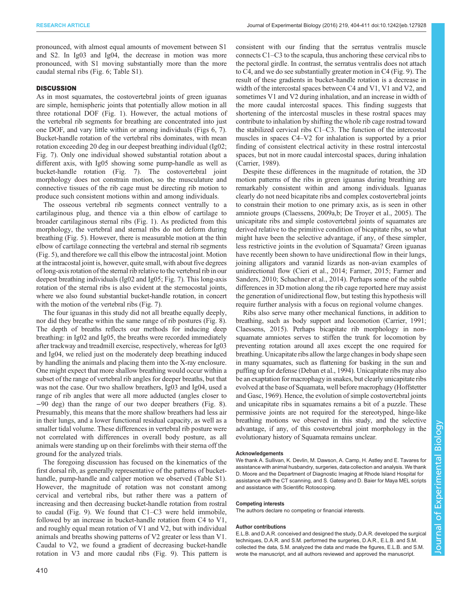pronounced, with almost equal amounts of movement between S1 and S2. In Ig03 and Ig04, the decrease in motion was more pronounced, with S1 moving substantially more than the more caudal sternal ribs [\(Fig. 6;](#page-4-0) [Table S1\)](http://jeb.biologists.org/lookup/suppl/doi:10.1242/jeb.127928/-/DC1).

# **DISCUSSION**

As in most squamates, the costovertebral joints of green iguanas are simple, hemispheric joints that potentially allow motion in all three rotational DOF [\(Fig. 1\)](#page-1-0). However, the actual motions of the vertebral rib segments for breathing are concentrated into just one DOF, and vary little within or among individuals [\(Figs 6](#page-4-0), [7\)](#page-4-0). Bucket-handle rotation of the vertebral ribs dominates, with mean rotation exceeding 20 deg in our deepest breathing individual (Ig02; [Fig. 7](#page-4-0)). Only one individual showed substantial rotation about a different axis, with Ig05 showing some pump-handle as well as bucket-handle rotation [\(Fig. 7\)](#page-4-0). The costovertebral joint morphology does not constrain motion, so the musculature and connective tissues of the rib cage must be directing rib motion to produce such consistent motions within and among individuals.

The osseous vertebral rib segments connect ventrally to a cartilaginous plug, and thence via a thin elbow of cartilage to broader cartilaginous sternal ribs ([Fig. 1\)](#page-1-0). As predicted from this morphology, the vertebral and sternal ribs do not deform during breathing ([Fig. 5](#page-3-0)). However, there is measurable motion at the thin elbow of cartilage connecting the vertebral and sternal rib segments [\(Fig. 5\)](#page-3-0), and therefore we call this elbow the intracostal joint. Motion at the intracostal joint is, however, quite small, with about five degrees of long-axis rotation of the sternal rib relative to the vertebral rib in our deepest breathing individuals (Ig02 and Ig05; [Fig. 7](#page-4-0)). This long-axis rotation of the sternal ribs is also evident at the sternocostal joints, where we also found substantial bucket-handle rotation, in concert with the motion of the vertebral ribs [\(Fig. 7](#page-4-0)).

The four iguanas in this study did not all breathe equally deeply, nor did they breathe within the same range of rib postures [\(Fig. 8\)](#page-5-0). The depth of breaths reflects our methods for inducing deep breathing: in Ig02 and Ig05, the breaths were recorded immediately after trackway and treadmill exercise, respectively, whereas for Ig03 and Ig04, we relied just on the moderately deep breathing induced by handling the animals and placing them into the X-ray enclosure. One might expect that more shallow breathing would occur within a subset of the range of vertebral rib angles for deeper breaths, but that was not the case. Our two shallow breathers, Ig03 and Ig04, used a range of rib angles that were all more adducted (angles closer to −90 deg) than the range of our two deeper breathers [\(Fig. 8\)](#page-5-0). Presumably, this means that the more shallow breathers had less air in their lungs, and a lower functional residual capacity, as well as a smaller tidal volume. These differences in vertebral rib posture were not correlated with differences in overall body posture, as all animals were standing up on their forelimbs with their sterna off the ground for the analyzed trials.

The foregoing discussion has focused on the kinematics of the first dorsal rib, as generally representative of the patterns of buckethandle, pump-handle and caliper motion we observed [\(Table S1\)](http://jeb.biologists.org/lookup/suppl/doi:10.1242/jeb.127928/-/DC1). However, the magnitude of rotation was not constant among cervical and vertebral ribs, but rather there was a pattern of increasing and then decreasing bucket-handle rotation from rostral to caudal ([Fig. 9\)](#page-5-0). We found that C1–C3 were held immobile, followed by an increase in bucket-handle rotation from C4 to V1, and roughly equal mean rotation of V1 and V2, but with individual animals and breaths showing patterns of V2 greater or less than V1. Caudal to V2, we found a gradient of decreasing bucket-handle rotation in V3 and more caudal ribs ([Fig. 9\)](#page-5-0). This pattern is consistent with our finding that the serratus ventralis muscle connects C1–C3 to the scapula, thus anchoring these cervical ribs to the pectoral girdle. In contrast, the serratus ventralis does not attach to C4, and we do see substantially greater motion in C4 [\(Fig. 9](#page-5-0)). The result of these gradients in bucket-handle rotation is a decrease in width of the intercostal spaces between C4 and V1, V1 and V2, and sometimes V1 and V2 during inhalation, and an increase in width of the more caudal intercostal spaces. This finding suggests that shortening of the intercostal muscles in these rostral spaces may contribute to inhalation by shifting the whole rib cage rostrad toward the stabilized cervical ribs C1–C3. The function of the intercostal muscles in spaces C4–V2 for inhalation is supported by a prior finding of consistent electrical activity in these rostral intercostal spaces, but not in more caudal intercostal spaces, during inhalation [\(Carrier, 1989\)](#page-7-0).

Despite these differences in the magnitude of rotation, the 3D motion patterns of the ribs in green iguanas during breathing are remarkably consistent within and among individuals. Iguanas clearly do not need bicapitate ribs and complex costovertebral joints to constrain their motion to one primary axis, as is seen in other amniote groups [\(Claessens, 2009a,b; De Troyer et al., 2005\)](#page-7-0). The unicapitate ribs and simple costovertebral joints of squamates are derived relative to the primitive condition of bicapitate ribs, so what might have been the selective advantage, if any, of these simpler, less restrictive joints in the evolution of Squamata? Green iguanas have recently been shown to have unidirectional flow in their lungs, joining alligators and varanid lizards as non-avian examples of unidirectional flow ([Cieri et al., 2014; Farmer, 2015](#page-7-0); [Farmer and](#page-7-0) [Sanders, 2010; Schachner et al., 2014\)](#page-7-0). Perhaps some of the subtle differences in 3D motion along the rib cage reported here may assist the generation of unidirectional flow, but testing this hypothesis will require further analysis with a focus on regional volume changes.

Ribs also serve many other mechanical functions, in addition to breathing, such as body support and locomotion [\(Carrier, 1991](#page-7-0); [Claessens, 2015\)](#page-7-0). Perhaps bicapitate rib morphology in nonsquamate amniotes serves to stiffen the trunk for locomotion by preventing rotation around all axes except the one required for breathing. Unicapitate ribs allow the large changes in body shape seen in many squamates, such as flattening for basking in the sun and puffing up for defense [\(Deban et al., 1994\)](#page-7-0). Unicapitate ribs may also be an exaptation for macrophagy in snakes, but clearly unicapitate ribs evolved at the base of Squamata, well before macrophagy [\(Hoffstetter](#page-7-0) [and Gasc, 1969\)](#page-7-0). Hence, the evolution of simple costovertebral joints and unicapitate ribs in squamates remains a bit of a puzzle. These permissive joints are not required for the stereotyped, hinge-like breathing motions we observed in this study, and the selective advantage, if any, of this costovertebral joint morphology in the evolutionary history of Squamata remains unclear.

#### **Acknowledgements**

We thank A. Sullivan, K. Devlin, M. Dawson, A. Camp, H. Astley and E. Tavares for assistance with animal husbandry, surgeries, data collection and analysis. We thank D. Moore and the Department of Diagnostic Imaging at Rhode Island Hospital for assistance with the CT scanning, and S. Gatesy and D. Baier for Maya MEL scripts and assistance with Scientific Rotoscoping.

#### Competing interests

The authors declare no competing or financial interests.

#### Author contributions

E.L.B. and D.A.R. conceived and designed the study, D.A.R. developed the surgical techniques, D.A.R. and S.M. performed the surgeries, D.A.R., E.L.B. and S.M. collected the data, S.M. analyzed the data and made the figures, E.L.B. and S.M. wrote the manuscript, and all authors reviewed and approved the manuscript.